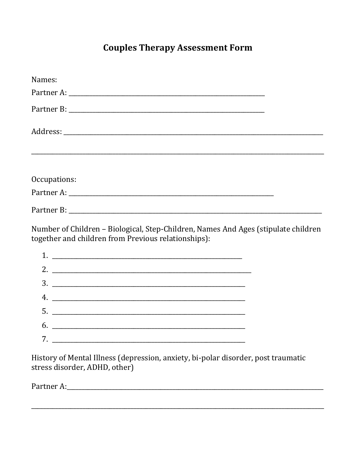## **Couples Therapy Assessment Form**

| Names:                                                                                                                                    |  |  |
|-------------------------------------------------------------------------------------------------------------------------------------------|--|--|
|                                                                                                                                           |  |  |
|                                                                                                                                           |  |  |
|                                                                                                                                           |  |  |
|                                                                                                                                           |  |  |
| Occupations:                                                                                                                              |  |  |
|                                                                                                                                           |  |  |
|                                                                                                                                           |  |  |
| Number of Children - Biological, Step-Children, Names And Ages (stipulate children<br>together and children from Previous relationships): |  |  |
|                                                                                                                                           |  |  |
|                                                                                                                                           |  |  |
|                                                                                                                                           |  |  |
|                                                                                                                                           |  |  |
|                                                                                                                                           |  |  |
|                                                                                                                                           |  |  |
|                                                                                                                                           |  |  |

History of Mental Illness (depression, anxiety, bi-polar disorder, post traumatic stress disorder, ADHD, other)

Partner A: Northern A: Northern A: Northern A: Northern A: Northern A: Northern A: Northern A: Northern A: Northern A: Northern A: Northern A: Northern A: Northern A: Northern A: Northern A: Northern A: Northern A: Norther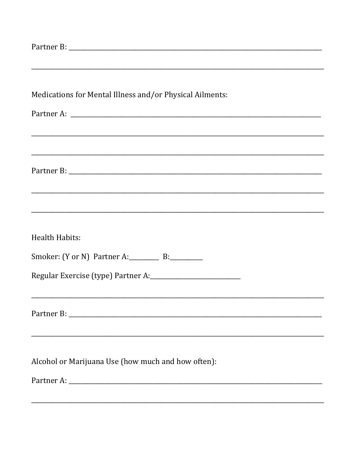| Medications for Mental Illness and/or Physical Ailments:                                                             |
|----------------------------------------------------------------------------------------------------------------------|
|                                                                                                                      |
|                                                                                                                      |
|                                                                                                                      |
|                                                                                                                      |
|                                                                                                                      |
|                                                                                                                      |
|                                                                                                                      |
| <u> 1989 - An t-Alban Alban (b. 1989), ann an t-Alban (b. 1989), ann an t-Alban (b. 1989), ann an t-Alban (b. 19</u> |
|                                                                                                                      |
|                                                                                                                      |
| Health Habits:                                                                                                       |
|                                                                                                                      |
| Smoker: (Y or N) Partner A: _________ B: ________                                                                    |
|                                                                                                                      |
|                                                                                                                      |
|                                                                                                                      |
|                                                                                                                      |
|                                                                                                                      |
|                                                                                                                      |
|                                                                                                                      |
| Alcohol or Marijuana Use (how much and how often):                                                                   |
|                                                                                                                      |
|                                                                                                                      |
|                                                                                                                      |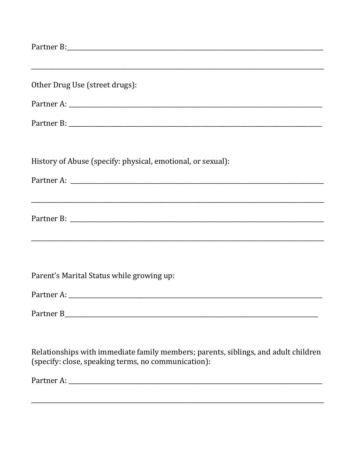| Other Drug Use (street drugs):                                                                                                            |
|-------------------------------------------------------------------------------------------------------------------------------------------|
|                                                                                                                                           |
|                                                                                                                                           |
| History of Abuse (specify: physical, emotional, or sexual):                                                                               |
|                                                                                                                                           |
|                                                                                                                                           |
|                                                                                                                                           |
| Parent's Marital Status while growing up:                                                                                                 |
|                                                                                                                                           |
|                                                                                                                                           |
| Relationships with immediate family members; parents, siblings, and adult children<br>(specify: close, speaking terms, no communication): |
|                                                                                                                                           |